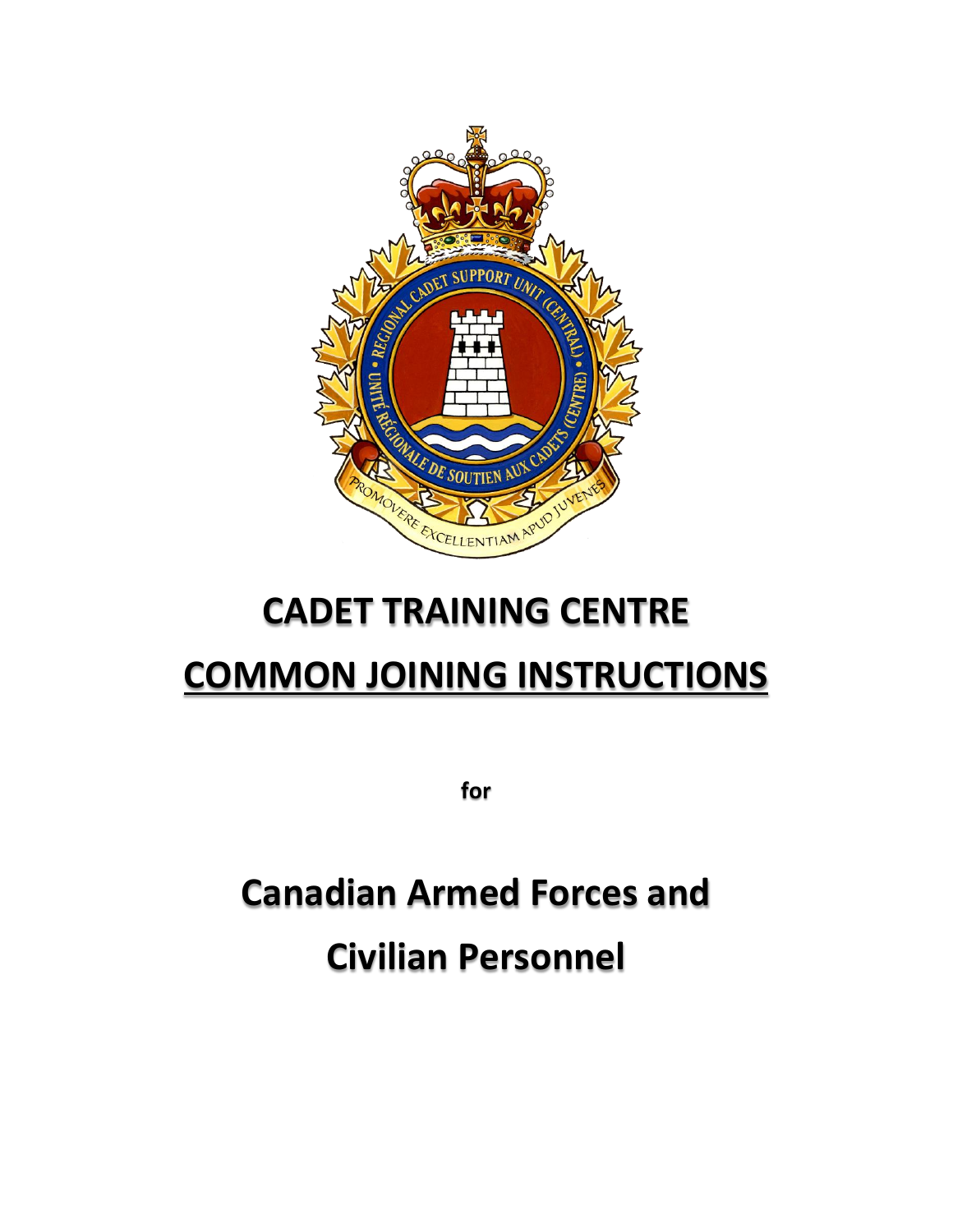

# **CADET TRAINING CENTRE**

# **COMMON JOINING INSTRUCTIONS**

**for**

**Canadian Armed Forces and Civilian Personnel**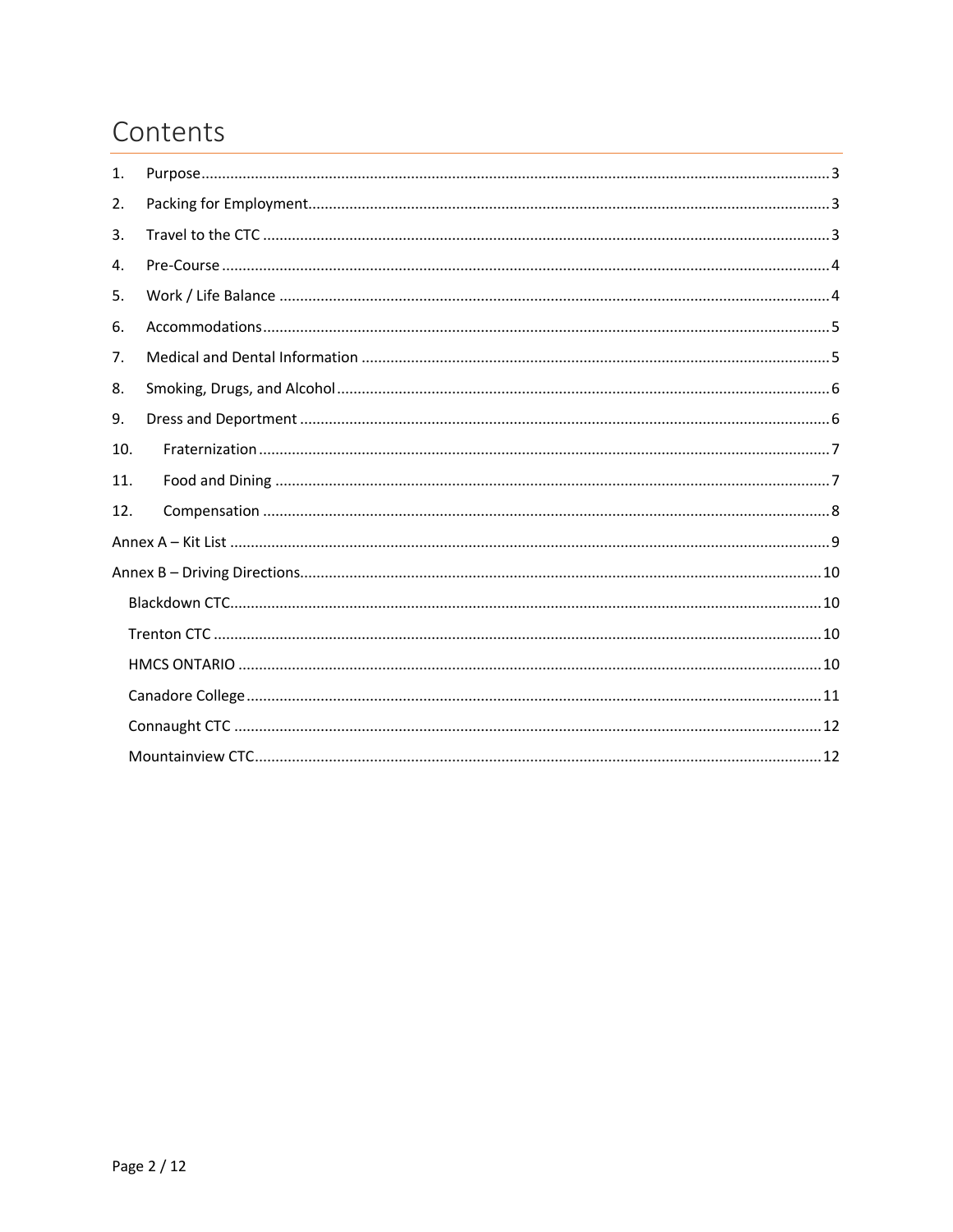# Contents

| 1.  |  |  |  |  |  |  |  |  |
|-----|--|--|--|--|--|--|--|--|
| 2.  |  |  |  |  |  |  |  |  |
| 3.  |  |  |  |  |  |  |  |  |
| 4.  |  |  |  |  |  |  |  |  |
| 5.  |  |  |  |  |  |  |  |  |
| 6.  |  |  |  |  |  |  |  |  |
| 7.  |  |  |  |  |  |  |  |  |
| 8.  |  |  |  |  |  |  |  |  |
| 9.  |  |  |  |  |  |  |  |  |
| 10. |  |  |  |  |  |  |  |  |
| 11. |  |  |  |  |  |  |  |  |
| 12. |  |  |  |  |  |  |  |  |
|     |  |  |  |  |  |  |  |  |
|     |  |  |  |  |  |  |  |  |
|     |  |  |  |  |  |  |  |  |
|     |  |  |  |  |  |  |  |  |
|     |  |  |  |  |  |  |  |  |
|     |  |  |  |  |  |  |  |  |
|     |  |  |  |  |  |  |  |  |
|     |  |  |  |  |  |  |  |  |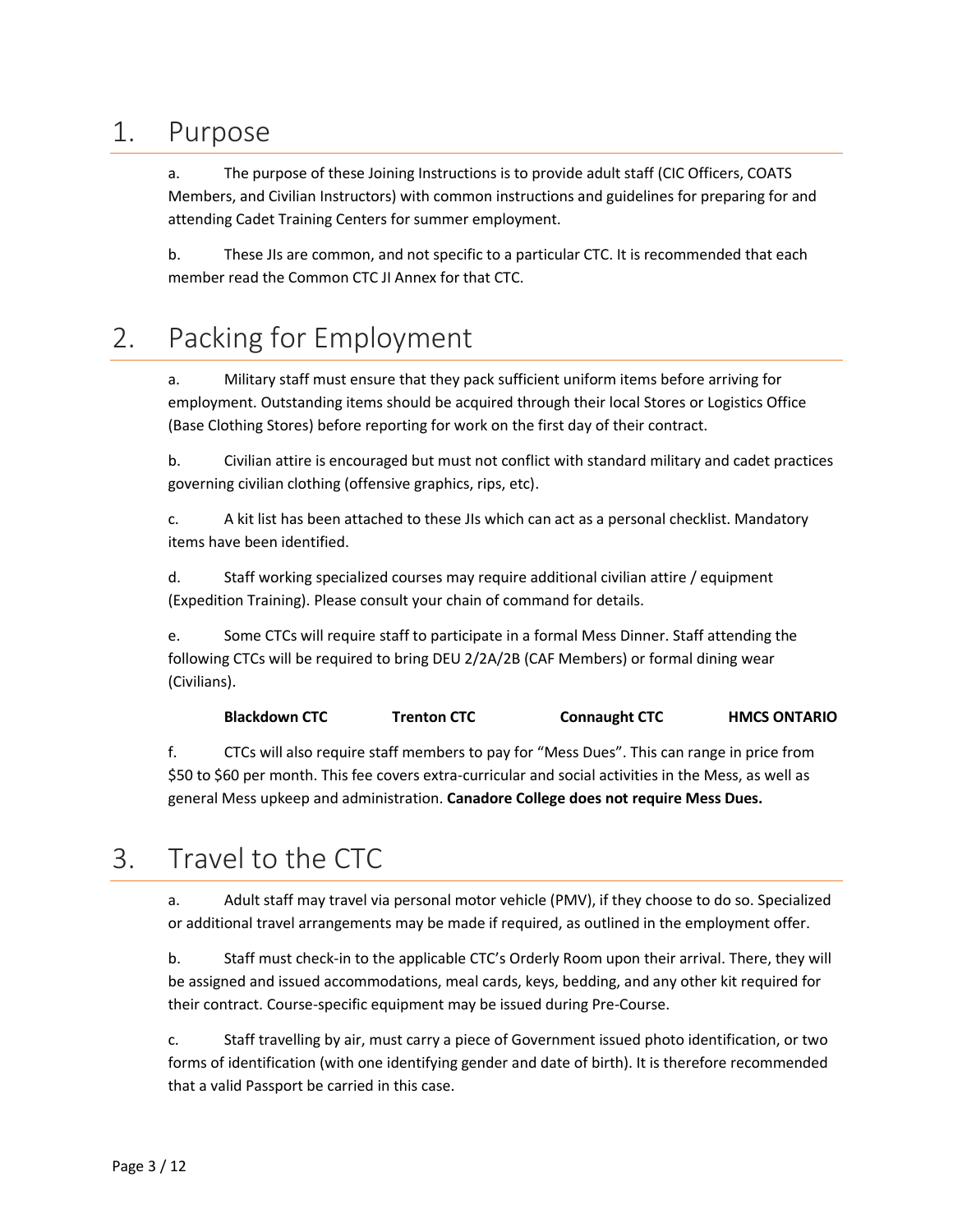#### <span id="page-2-0"></span>1. Purpose

a. The purpose of these Joining Instructions is to provide adult staff (CIC Officers, COATS Members, and Civilian Instructors) with common instructions and guidelines for preparing for and attending Cadet Training Centers for summer employment.

b. These JIs are common, and not specific to a particular CTC. It is recommended that each member read the Common CTC JI Annex for that CTC.

# <span id="page-2-1"></span>2. Packing for Employment

a. Military staff must ensure that they pack sufficient uniform items before arriving for employment. Outstanding items should be acquired through their local Stores or Logistics Office (Base Clothing Stores) before reporting for work on the first day of their contract.

b. Civilian attire is encouraged but must not conflict with standard military and cadet practices governing civilian clothing (offensive graphics, rips, etc).

c. A kit list has been attached to these JIs which can act as a personal checklist. Mandatory items have been identified.

d. Staff working specialized courses may require additional civilian attire / equipment (Expedition Training). Please consult your chain of command for details.

e. Some CTCs will require staff to participate in a formal Mess Dinner. Staff attending the following CTCs will be required to bring DEU 2/2A/2B (CAF Members) or formal dining wear (Civilians).

**Blackdown CTC Trenton CTC Connaught CTC HMCS ONTARIO**

f. CTCs will also require staff members to pay for "Mess Dues". This can range in price from \$50 to \$60 per month. This fee covers extra-curricular and social activities in the Mess, as well as general Mess upkeep and administration. **Canadore College does not require Mess Dues.**

# <span id="page-2-2"></span>3. Travel to the CTC

a. Adult staff may travel via personal motor vehicle (PMV), if they choose to do so. Specialized or additional travel arrangements may be made if required, as outlined in the employment offer.

b. Staff must check-in to the applicable CTC's Orderly Room upon their arrival. There, they will be assigned and issued accommodations, meal cards, keys, bedding, and any other kit required for their contract. Course-specific equipment may be issued during Pre-Course.

c. Staff travelling by air, must carry a piece of Government issued photo identification, or two forms of identification (with one identifying gender and date of birth). It is therefore recommended that a valid Passport be carried in this case.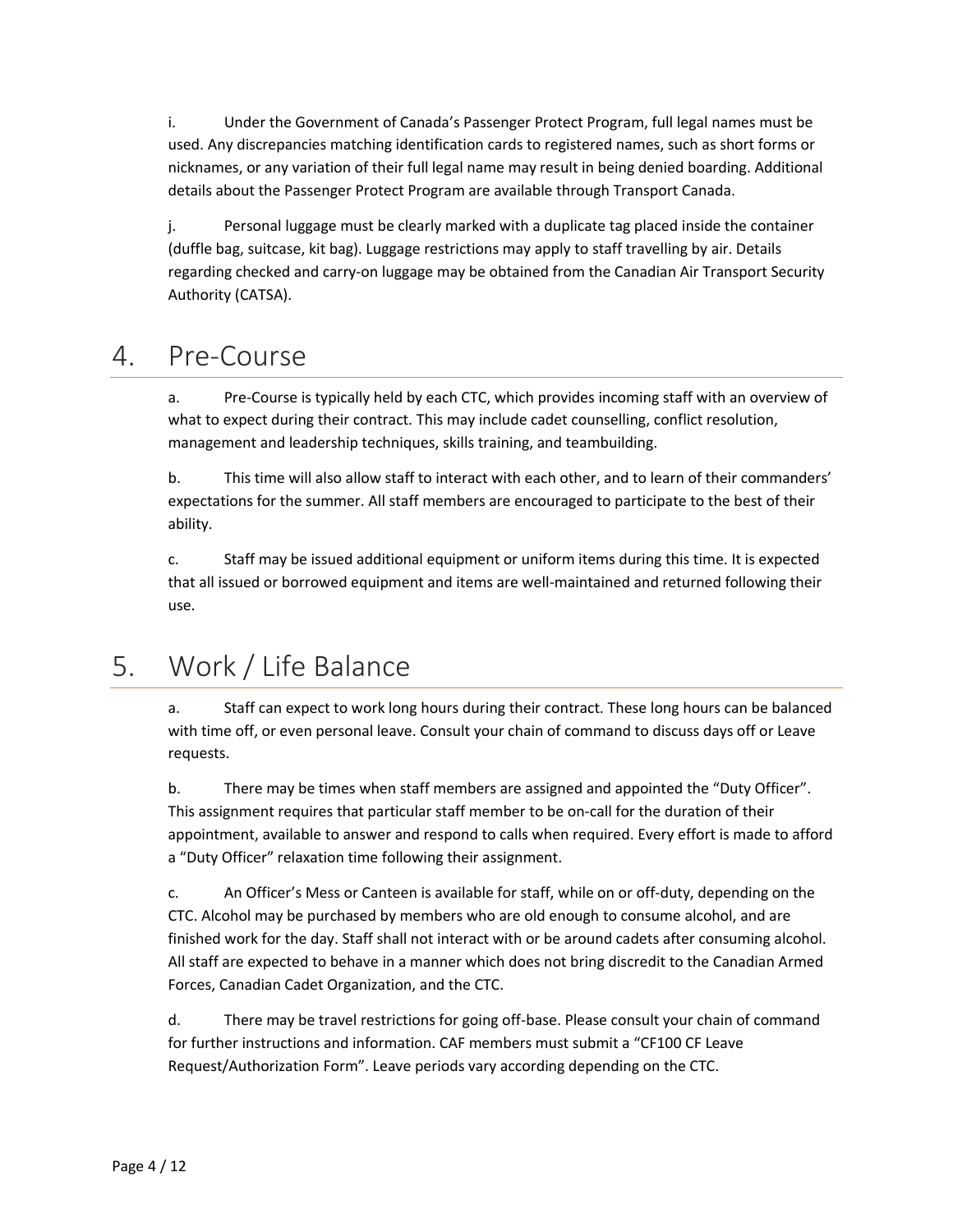i. Under the Government of Canada's Passenger Protect Program, full legal names must be used. Any discrepancies matching identification cards to registered names, such as short forms or nicknames, or any variation of their full legal name may result in being denied boarding. Additional details about the Passenger Protect Program are available through Transport Canada.

j. Personal luggage must be clearly marked with a duplicate tag placed inside the container (duffle bag, suitcase, kit bag). Luggage restrictions may apply to staff travelling by air. Details regarding checked and carry-on luggage may be obtained from the Canadian Air Transport Security Authority (CATSA).

#### <span id="page-3-0"></span>4. Pre-Course

a. Pre-Course is typically held by each CTC, which provides incoming staff with an overview of what to expect during their contract. This may include cadet counselling, conflict resolution, management and leadership techniques, skills training, and teambuilding.

b. This time will also allow staff to interact with each other, and to learn of their commanders' expectations for the summer. All staff members are encouraged to participate to the best of their ability.

c. Staff may be issued additional equipment or uniform items during this time. It is expected that all issued or borrowed equipment and items are well-maintained and returned following their use.

# <span id="page-3-1"></span>5. Work / Life Balance

a. Staff can expect to work long hours during their contract. These long hours can be balanced with time off, or even personal leave. Consult your chain of command to discuss days off or Leave requests.

b. There may be times when staff members are assigned and appointed the "Duty Officer". This assignment requires that particular staff member to be on-call for the duration of their appointment, available to answer and respond to calls when required. Every effort is made to afford a "Duty Officer" relaxation time following their assignment.

c. An Officer's Mess or Canteen is available for staff, while on or off-duty, depending on the CTC. Alcohol may be purchased by members who are old enough to consume alcohol, and are finished work for the day. Staff shall not interact with or be around cadets after consuming alcohol. All staff are expected to behave in a manner which does not bring discredit to the Canadian Armed Forces, Canadian Cadet Organization, and the CTC.

d. There may be travel restrictions for going off-base. Please consult your chain of command for further instructions and information. CAF members must submit a "CF100 CF Leave Request/Authorization Form". Leave periods vary according depending on the CTC.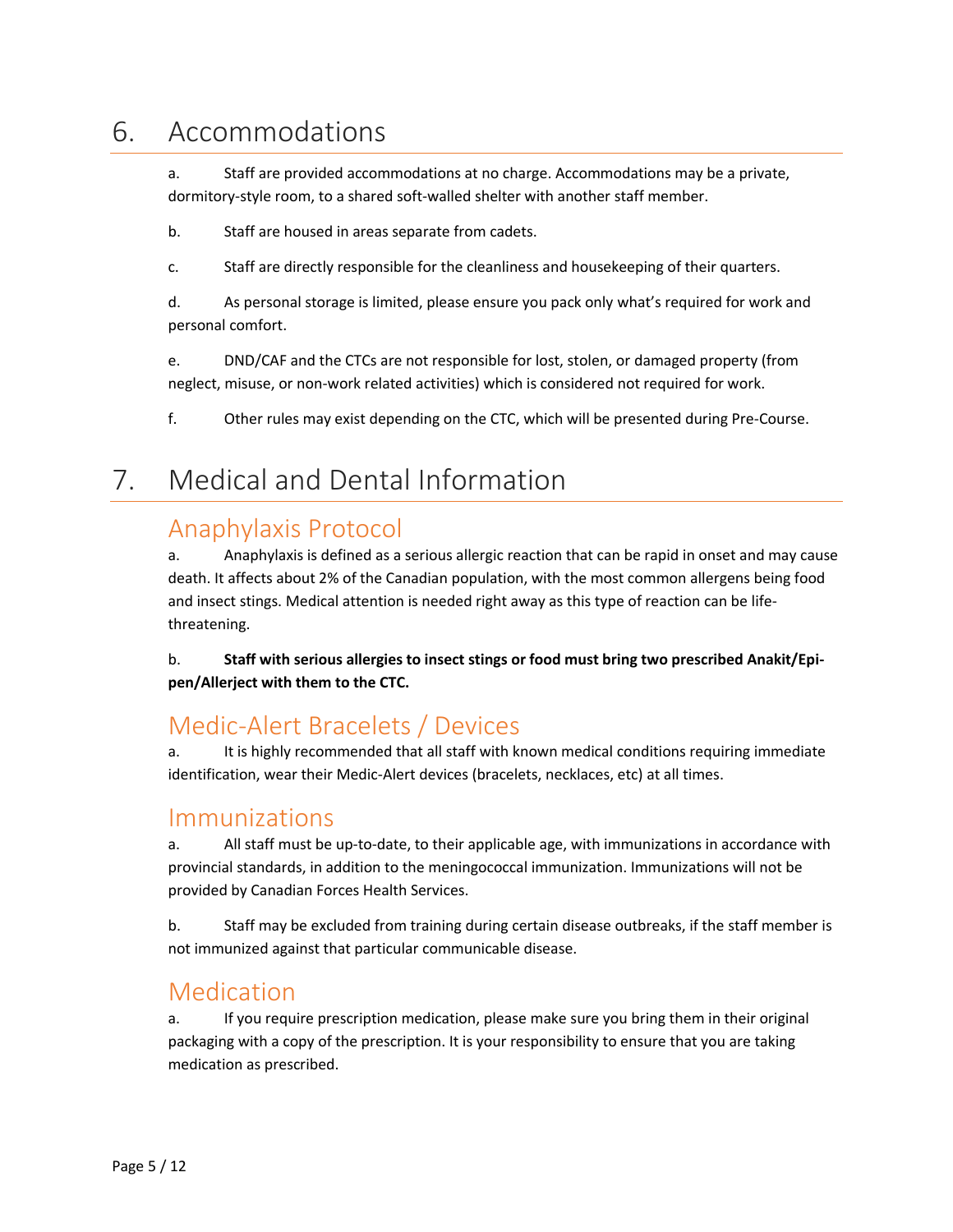#### <span id="page-4-0"></span>6. Accommodations

a. Staff are provided accommodations at no charge. Accommodations may be a private, dormitory-style room, to a shared soft-walled shelter with another staff member.

b. Staff are housed in areas separate from cadets.

c. Staff are directly responsible for the cleanliness and housekeeping of their quarters.

d. As personal storage is limited, please ensure you pack only what's required for work and personal comfort.

e. DND/CAF and the CTCs are not responsible for lost, stolen, or damaged property (from neglect, misuse, or non-work related activities) which is considered not required for work.

f. Other rules may exist depending on the CTC, which will be presented during Pre-Course.

# <span id="page-4-1"></span>7. Medical and Dental Information

#### Anaphylaxis Protocol

a. Anaphylaxis is defined as a serious allergic reaction that can be rapid in onset and may cause death. It affects about 2% of the Canadian population, with the most common allergens being food and insect stings. Medical attention is needed right away as this type of reaction can be lifethreatening.

b. **Staff with serious allergies to insect stings or food must bring two prescribed Anakit/Epipen/Allerject with them to the CTC.**

#### Medic-Alert Bracelets / Devices

a. It is highly recommended that all staff with known medical conditions requiring immediate identification, wear their Medic-Alert devices (bracelets, necklaces, etc) at all times.

#### Immunizations

a. All staff must be up-to-date, to their applicable age, with immunizations in accordance with provincial standards, in addition to the meningococcal immunization. Immunizations will not be provided by Canadian Forces Health Services.

b. Staff may be excluded from training during certain disease outbreaks, if the staff member is not immunized against that particular communicable disease.

#### Medication

a. If you require prescription medication, please make sure you bring them in their original packaging with a copy of the prescription. It is your responsibility to ensure that you are taking medication as prescribed.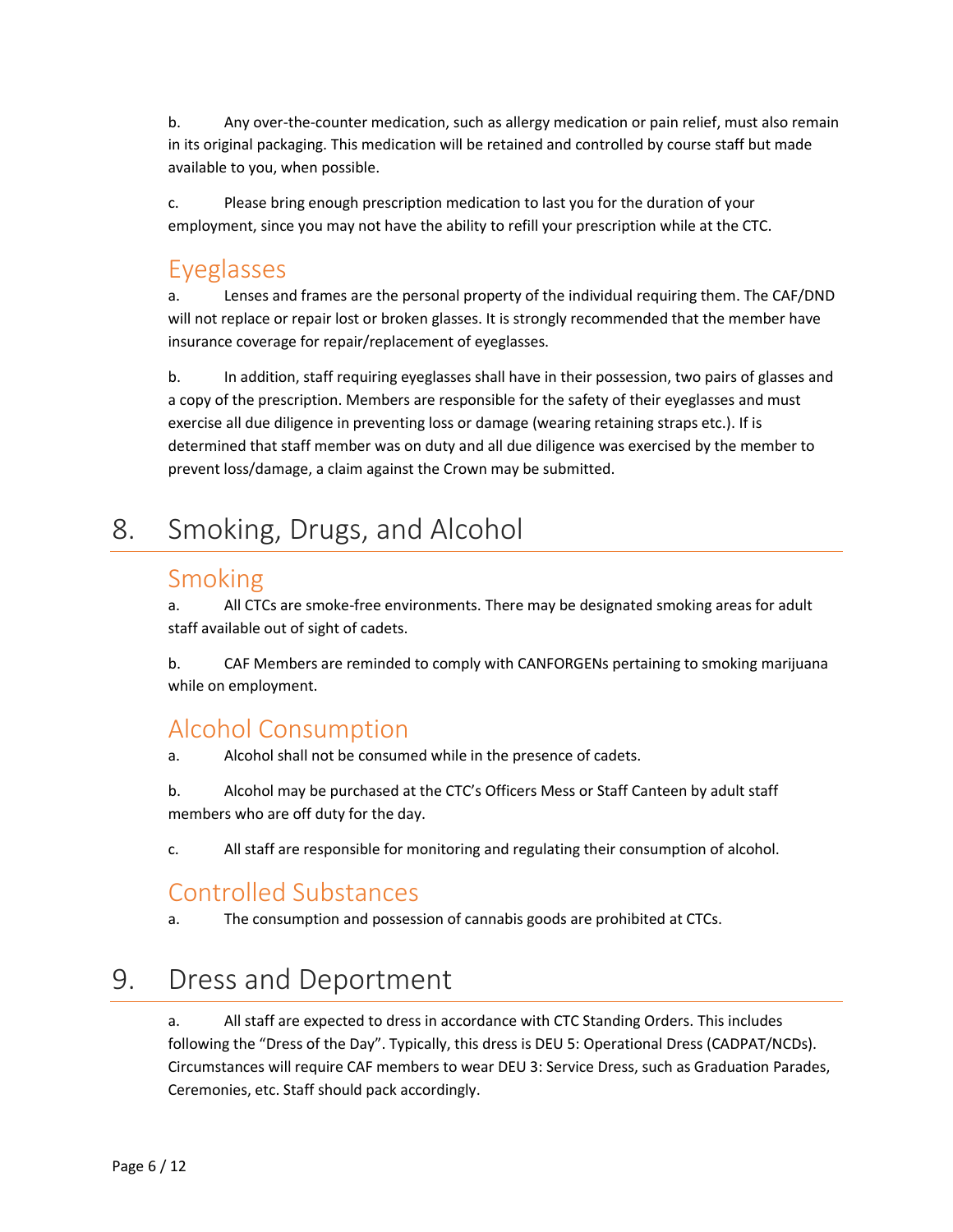b. Any over-the-counter medication, such as allergy medication or pain relief, must also remain in its original packaging. This medication will be retained and controlled by course staff but made available to you, when possible.

c. Please bring enough prescription medication to last you for the duration of your employment, since you may not have the ability to refill your prescription while at the CTC.

#### Eyeglasses

a. Lenses and frames are the personal property of the individual requiring them. The CAF/DND will not replace or repair lost or broken glasses. It is strongly recommended that the member have insurance coverage for repair/replacement of eyeglasses.

b. In addition, staff requiring eyeglasses shall have in their possession, two pairs of glasses and a copy of the prescription. Members are responsible for the safety of their eyeglasses and must exercise all due diligence in preventing loss or damage (wearing retaining straps etc.). If is determined that staff member was on duty and all due diligence was exercised by the member to prevent loss/damage, a claim against the Crown may be submitted.

# <span id="page-5-0"></span>8. Smoking, Drugs, and Alcohol

#### Smoking

a. All CTCs are smoke-free environments. There may be designated smoking areas for adult staff available out of sight of cadets.

b. CAF Members are reminded to comply with CANFORGENs pertaining to smoking marijuana while on employment.

#### Alcohol Consumption

a. Alcohol shall not be consumed while in the presence of cadets.

b. Alcohol may be purchased at the CTC's Officers Mess or Staff Canteen by adult staff members who are off duty for the day.

c. All staff are responsible for monitoring and regulating their consumption of alcohol.

#### Controlled Substances

a. The consumption and possession of cannabis goods are prohibited at CTCs.

# <span id="page-5-1"></span>9. Dress and Deportment

a. All staff are expected to dress in accordance with CTC Standing Orders. This includes following the "Dress of the Day". Typically, this dress is DEU 5: Operational Dress (CADPAT/NCDs). Circumstances will require CAF members to wear DEU 3: Service Dress, such as Graduation Parades, Ceremonies, etc. Staff should pack accordingly.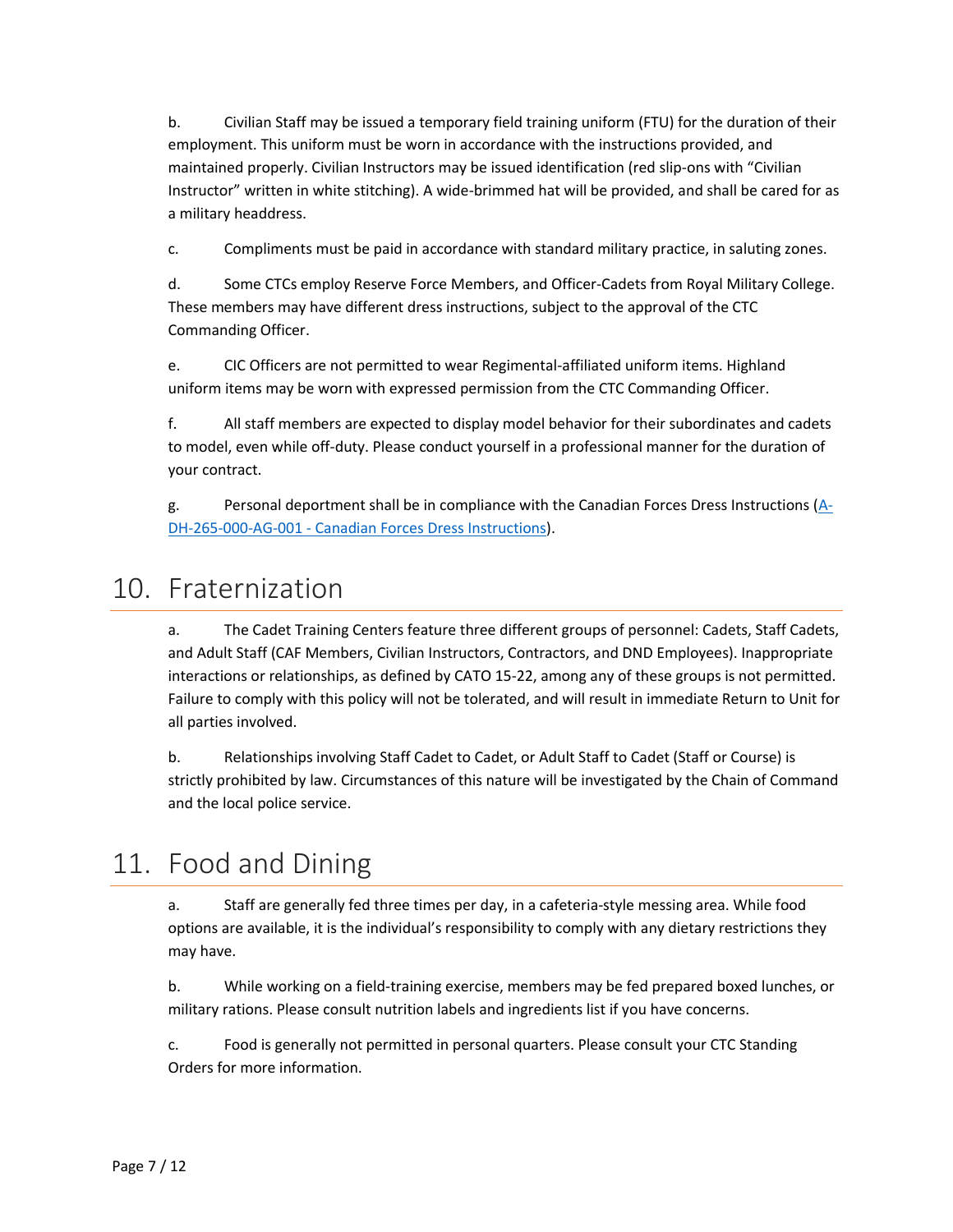b. Civilian Staff may be issued a temporary field training uniform (FTU) for the duration of their employment. This uniform must be worn in accordance with the instructions provided, and maintained properly. Civilian Instructors may be issued identification (red slip-ons with "Civilian Instructor" written in white stitching). A wide-brimmed hat will be provided, and shall be cared for as a military headdress.

c. Compliments must be paid in accordance with standard military practice, in saluting zones.

d. Some CTCs employ Reserve Force Members, and Officer-Cadets from Royal Military College. These members may have different dress instructions, subject to the approval of the CTC Commanding Officer.

e. CIC Officers are not permitted to wear Regimental-affiliated uniform items. Highland uniform items may be worn with expressed permission from the CTC Commanding Officer.

f. All staff members are expected to display model behavior for their subordinates and cadets to model, even while off-duty. Please conduct yourself in a professional manner for the duration of your contract.

g. Personal deportment shall be in compliance with the Canadian Forces Dress Instructions  $(A<sub>-</sub>)$ DH-265-000-AG-001 - [Canadian Forces Dress Instructions\)](http://www.cmp-cpm.forces.gc.ca/dhh-dhp/pub/ins-265/CAF-DRESS-INSTRUCTIONS.pdf).

### <span id="page-6-0"></span>10. Fraternization

a. The Cadet Training Centers feature three different groups of personnel: Cadets, Staff Cadets, and Adult Staff (CAF Members, Civilian Instructors, Contractors, and DND Employees). Inappropriate interactions or relationships, as defined by CATO 15-22, among any of these groups is not permitted. Failure to comply with this policy will not be tolerated, and will result in immediate Return to Unit for all parties involved.

b. Relationships involving Staff Cadet to Cadet, or Adult Staff to Cadet (Staff or Course) is strictly prohibited by law. Circumstances of this nature will be investigated by the Chain of Command and the local police service.

# <span id="page-6-1"></span>11. Food and Dining

a. Staff are generally fed three times per day, in a cafeteria-style messing area. While food options are available, it is the individual's responsibility to comply with any dietary restrictions they may have.

b. While working on a field-training exercise, members may be fed prepared boxed lunches, or military rations. Please consult nutrition labels and ingredients list if you have concerns.

c. Food is generally not permitted in personal quarters. Please consult your CTC Standing Orders for more information.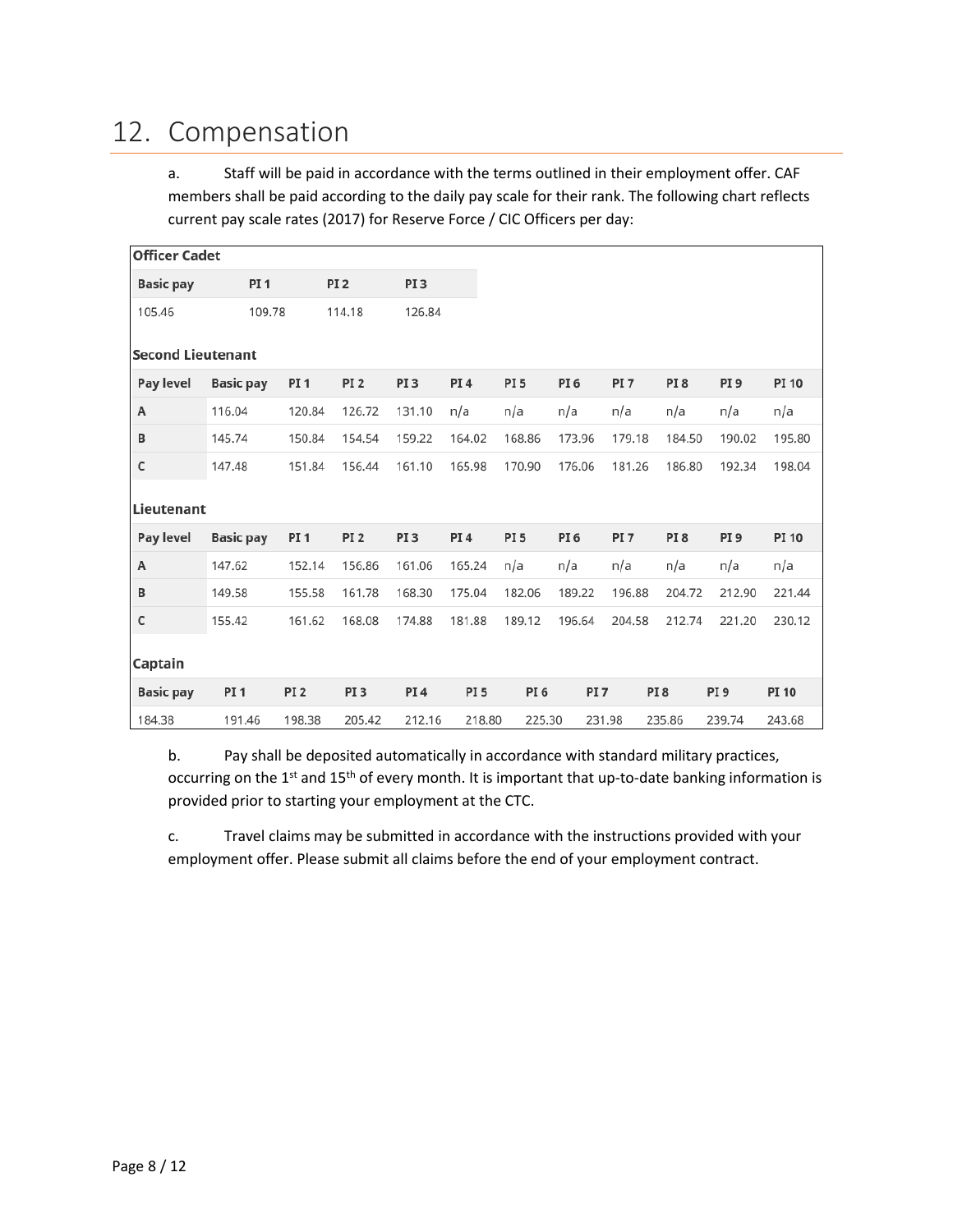### <span id="page-7-0"></span>12. Compensation

a. Staff will be paid in accordance with the terms outlined in their employment offer. CAF members shall be paid according to the daily pay scale for their rank. The following chart reflects current pay scale rates (2017) for Reserve Force / CIC Officers per day:

| <b>Officer Cadet</b>     |                  |                 |                 |                 |                 |                 |                 |                 |                 |                 |              |  |
|--------------------------|------------------|-----------------|-----------------|-----------------|-----------------|-----------------|-----------------|-----------------|-----------------|-----------------|--------------|--|
| <b>Basic pay</b>         | <b>PI1</b>       |                 | PI <sub>2</sub> | PI <sub>3</sub> |                 |                 |                 |                 |                 |                 |              |  |
| 105.46                   | 109.78           |                 | 114.18          | 126.84          |                 |                 |                 |                 |                 |                 |              |  |
| <b>Second Lieutenant</b> |                  |                 |                 |                 |                 |                 |                 |                 |                 |                 |              |  |
| Pay level                | <b>Basic pay</b> | PI <sub>1</sub> | PI <sub>2</sub> | PI <sub>3</sub> | PI <sub>4</sub> | PI <sub>5</sub> | PI <sub>6</sub> | PI <sub>7</sub> | PI <sub>8</sub> | PI <sub>9</sub> | <b>PI 10</b> |  |
| А                        | 116.04           | 120.84          | 126.72          | 131.10          | n/a             | n/a             | n/a             | n/a             | n/a             | n/a             | n/a          |  |
| В                        | 145.74           | 150.84          | 154.54          | 159.22          | 164.02          | 168.86          | 173.96          | 179.18          | 184.50          | 190.02          | 195.80       |  |
| $\mathsf{C}$             | 147.48           | 151.84          | 156.44          | 161.10          | 165.98          | 170.90          | 176.06          | 181.26          | 186.80          | 192.34          | 198.04       |  |
| Lieutenant               |                  |                 |                 |                 |                 |                 |                 |                 |                 |                 |              |  |
| <b>Pay level</b>         | <b>Basic pay</b> | PI <sub>1</sub> | PI <sub>2</sub> | PI <sub>3</sub> | PI <sub>4</sub> | PI <sub>5</sub> | PI <sub>6</sub> | PI <sub>7</sub> | PI <sub>8</sub> | PI <sub>9</sub> | <b>PI 10</b> |  |
| А                        | 147.62           | 152.14          | 156.86          | 161.06          | 165.24          | n/a             | n/a             | n/a             | n/a             | n/a             | n/a          |  |
| B                        | 149.58           | 155.58          | 161.78          | 168.30          | 175.04          | 182.06          | 189.22          | 196.88          | 204.72          | 212.90          | 221.44       |  |
| C                        | 155.42           | 161.62          | 168.08          | 174.88          | 181.88          | 189.12          | 196.64          | 204.58          | 212.74          | 221.20          | 230.12       |  |
| Captain                  |                  |                 |                 |                 |                 |                 |                 |                 |                 |                 |              |  |
| <b>Basic pay</b>         | <b>PI1</b>       | PI <sub>2</sub> | PI <sub>3</sub> | <b>PI4</b>      | PI <sub>5</sub> | PI <sub>6</sub> | PI <sub>7</sub> |                 | PI <sub>8</sub> | PI <sub>9</sub> | <b>PI 10</b> |  |
| 184.38                   | 191.46           | 198.38          | 205.42          | 212.16          | 218.80          | 225.30          |                 | 231.98          | 235.86          | 239.74          | 243.68       |  |

b. Pay shall be deposited automatically in accordance with standard military practices, occurring on the 1<sup>st</sup> and 15<sup>th</sup> of every month. It is important that up-to-date banking information is provided prior to starting your employment at the CTC.

c. Travel claims may be submitted in accordance with the instructions provided with your employment offer. Please submit all claims before the end of your employment contract.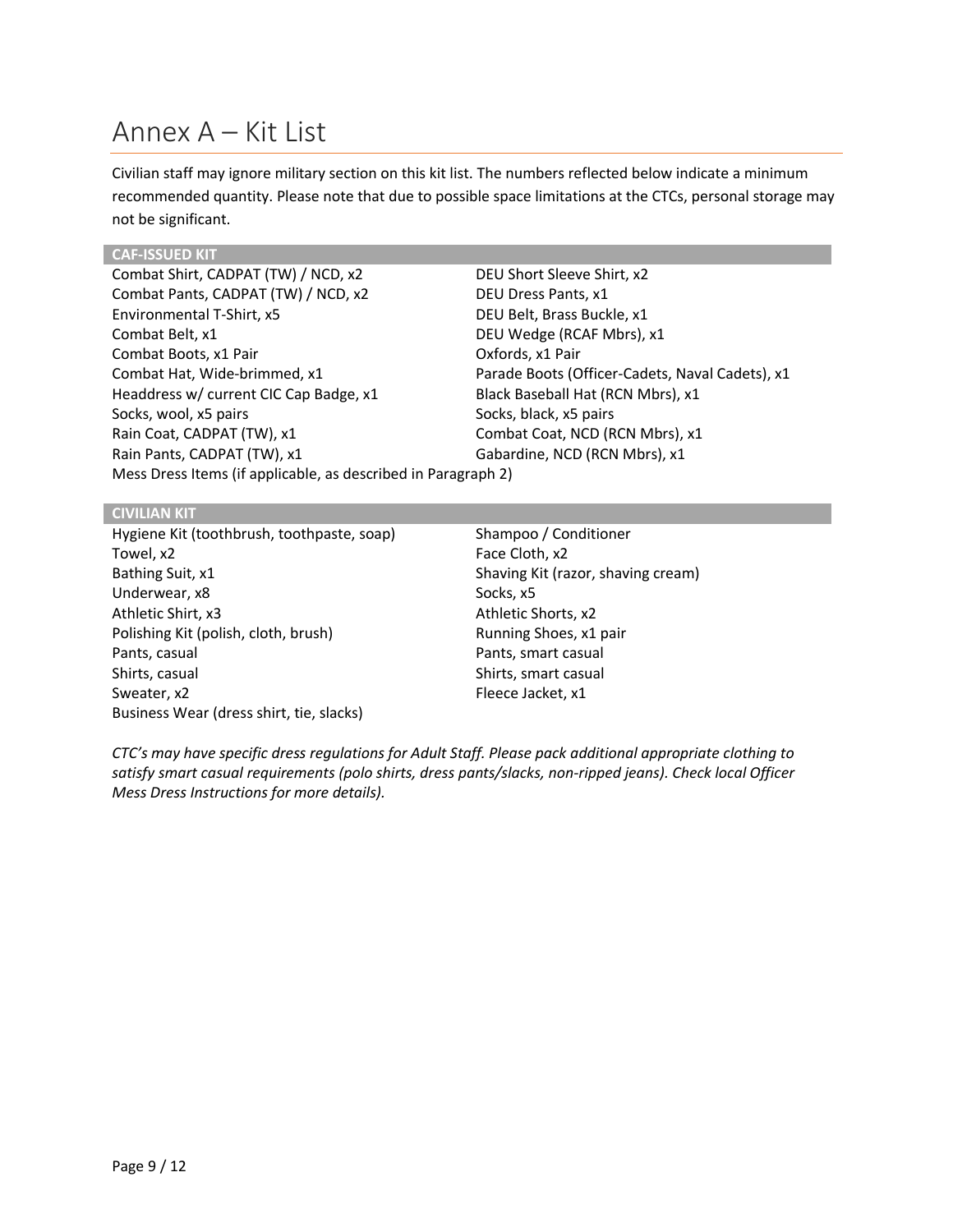### <span id="page-8-0"></span>Annex A – Kit List

Civilian staff may ignore military section on this kit list. The numbers reflected below indicate a minimum recommended quantity. Please note that due to possible space limitations at the CTCs, personal storage may not be significant.

#### **CAF-ISSUED KIT**

Combat Shirt, CADPAT (TW) / NCD, x2 DEU Short Sleeve Shirt, x2 Combat Pants, CADPAT (TW) / NCD, x2 DEU Dress Pants, x1 Environmental T-Shirt, x5 DEU Belt, Brass Buckle, x1 Combat Belt, x1 DEU Wedge (RCAF Mbrs), x1 Combat Boots, x1 Pair Combat Boots, x1 Pair Combat Hat, Wide-brimmed, x1 Parade Boots (Officer-Cadets, Naval Cadets), x1 Headdress w/ current CIC Cap Badge, x1 Black Baseball Hat (RCN Mbrs), x1 Socks, wool, x5 pairs Socks, black, x5 pairs Socks, black, x5 pairs Rain Coat, CADPAT (TW), x1 Combat Coat, NCD (RCN Mbrs), x1 Rain Pants, CADPAT (TW), x1 Gabardine, NCD (RCN Mbrs), x1 Mess Dress Items (if applicable, as described in Paragraph 2)

#### **CIVILIAN KIT**

Hygiene Kit (toothbrush, toothpaste, soap) Shampoo / Conditioner Towel, x2 Face Cloth, x2 Bathing Suit, x1 Shaving Kit (razor, shaving cream) Underwear, x8 Socks, x5 Athletic Shirt, x3 Athletic Shorts, x2 Polishing Kit (polish, cloth, brush) Running Shoes, x1 pair Pants, casual **Pants**, casual **Pants**, casual Shirts, casual Shirts, smart casual Sweater, x2 Fleece Jacket, x1 Business Wear (dress shirt, tie, slacks)

*CTC's may have specific dress regulations for Adult Staff. Please pack additional appropriate clothing to satisfy smart casual requirements (polo shirts, dress pants/slacks, non-ripped jeans). Check local Officer Mess Dress Instructions for more details).*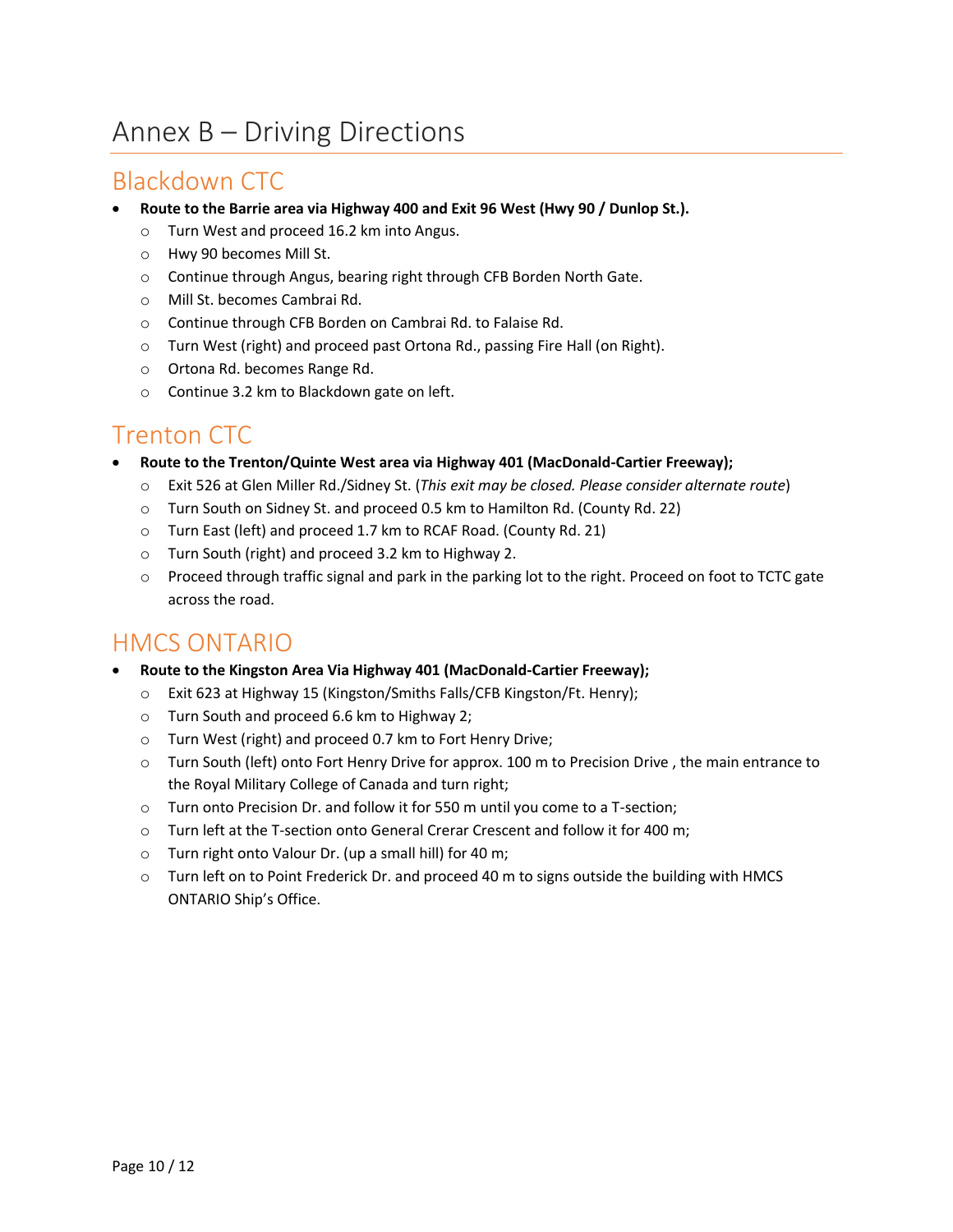# <span id="page-9-0"></span>Annex B – Driving Directions

#### <span id="page-9-1"></span>Blackdown CTC

- **Route to the Barrie area via Highway 400 and Exit 96 West (Hwy 90 / Dunlop St.).**
	- o Turn West and proceed 16.2 km into Angus.
	- o Hwy 90 becomes Mill St.
	- o Continue through Angus, bearing right through CFB Borden North Gate.
	- o Mill St. becomes Cambrai Rd.
	- o Continue through CFB Borden on Cambrai Rd. to Falaise Rd.
	- o Turn West (right) and proceed past Ortona Rd., passing Fire Hall (on Right).
	- o Ortona Rd. becomes Range Rd.
	- o Continue 3.2 km to Blackdown gate on left.

#### <span id="page-9-2"></span>Trenton CTC

- **Route to the Trenton/Quinte West area via Highway 401 (MacDonald-Cartier Freeway);**
	- o Exit 526 at Glen Miller Rd./Sidney St. (*This exit may be closed. Please consider alternate route*)
	- o Turn South on Sidney St. and proceed 0.5 km to Hamilton Rd. (County Rd. 22)
	- o Turn East (left) and proceed 1.7 km to RCAF Road. (County Rd. 21)
	- o Turn South (right) and proceed 3.2 km to Highway 2.
	- o Proceed through traffic signal and park in the parking lot to the right. Proceed on foot to TCTC gate across the road.

#### <span id="page-9-3"></span>HMCS ONTARIO

- **Route to the Kingston Area Via Highway 401 (MacDonald-Cartier Freeway);**
	- o Exit 623 at Highway 15 (Kingston/Smiths Falls/CFB Kingston/Ft. Henry);
	- o Turn South and proceed 6.6 km to Highway 2;
	- o Turn West (right) and proceed 0.7 km to Fort Henry Drive;
	- o Turn South (left) onto Fort Henry Drive for approx. 100 m to Precision Drive , the main entrance to the Royal Military College of Canada and turn right;
	- o Turn onto Precision Dr. and follow it for 550 m until you come to a T-section;
	- o Turn left at the T-section onto General Crerar Crescent and follow it for 400 m;
	- o Turn right onto Valour Dr. (up a small hill) for 40 m;
	- $\circ$  Turn left on to Point Frederick Dr. and proceed 40 m to signs outside the building with HMCS ONTARIO Ship's Office.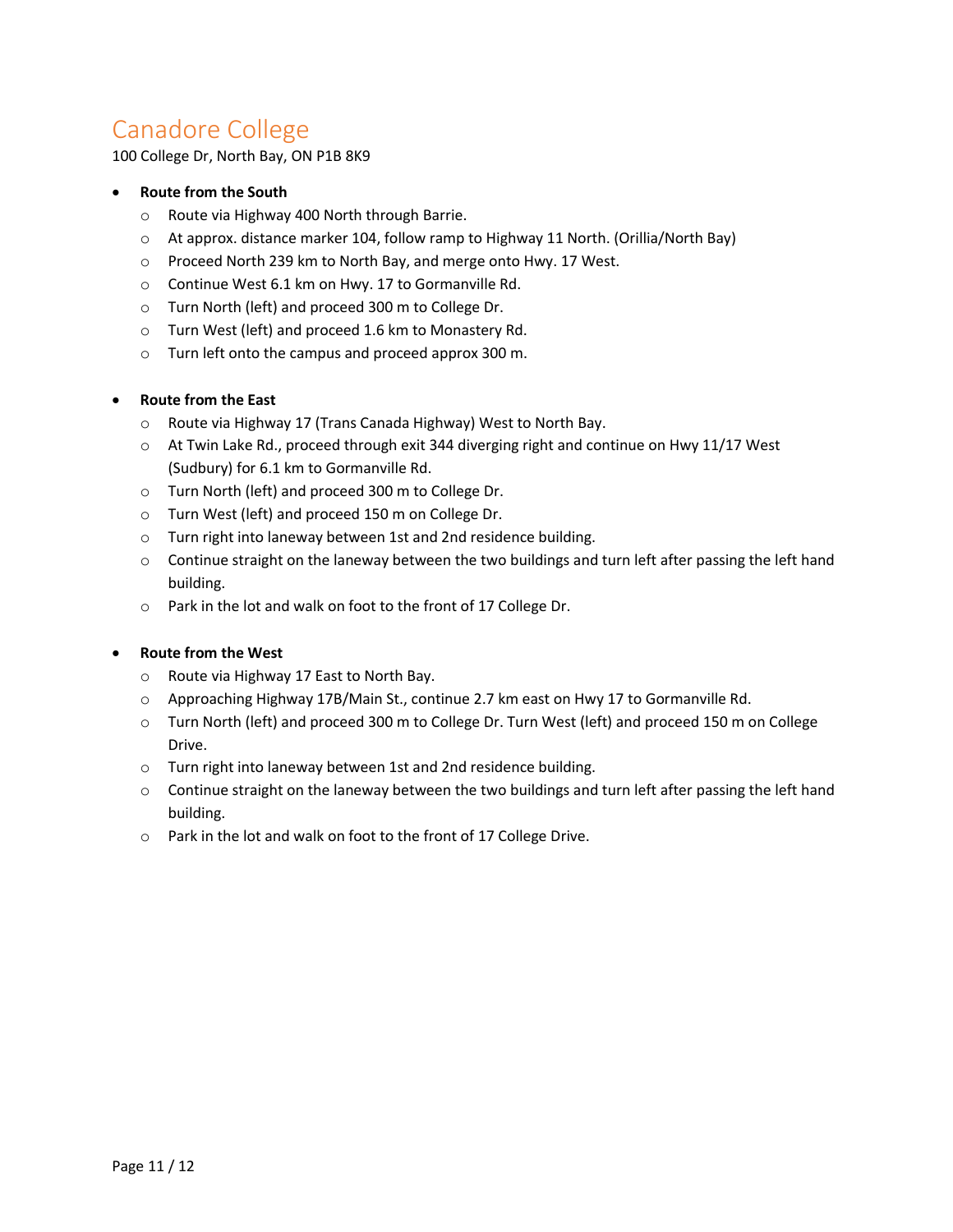### <span id="page-10-0"></span>Canadore College

100 College Dr, North Bay, ON P1B 8K9

#### **Route from the South**

- o Route via Highway 400 North through Barrie.
- o At approx. distance marker 104, follow ramp to Highway 11 North. (Orillia/North Bay)
- o Proceed North 239 km to North Bay, and merge onto Hwy. 17 West.
- o Continue West 6.1 km on Hwy. 17 to Gormanville Rd.
- o Turn North (left) and proceed 300 m to College Dr.
- o Turn West (left) and proceed 1.6 km to Monastery Rd.
- o Turn left onto the campus and proceed approx 300 m.

#### **Route from the East**

- o Route via Highway 17 (Trans Canada Highway) West to North Bay.
- $\circ$  At Twin Lake Rd., proceed through exit 344 diverging right and continue on Hwy 11/17 West (Sudbury) for 6.1 km to Gormanville Rd.
- o Turn North (left) and proceed 300 m to College Dr.
- o Turn West (left) and proceed 150 m on College Dr.
- o Turn right into laneway between 1st and 2nd residence building.
- $\circ$  Continue straight on the laneway between the two buildings and turn left after passing the left hand building.
- o Park in the lot and walk on foot to the front of 17 College Dr.

#### **Route from the West**

- o Route via Highway 17 East to North Bay.
- o Approaching Highway 17B/Main St., continue 2.7 km east on Hwy 17 to Gormanville Rd.
- o Turn North (left) and proceed 300 m to College Dr. Turn West (left) and proceed 150 m on College Drive.
- o Turn right into laneway between 1st and 2nd residence building.
- $\circ$  Continue straight on the laneway between the two buildings and turn left after passing the left hand building.
- o Park in the lot and walk on foot to the front of 17 College Drive.